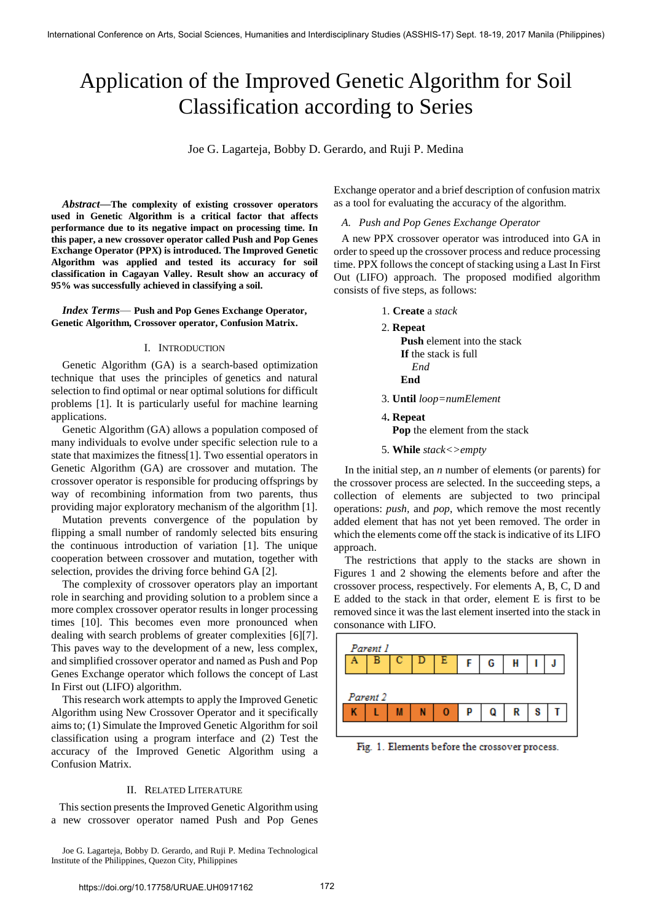# Application of the Improved Genetic Algorithm for Soil Classification according to Series

Joe G. Lagarteja, Bobby D. Gerardo, and Ruji P. Medina

*Abstract***—The complexity of existing crossover operators used in Genetic Algorithm is a critical factor that affects performance due to its negative impact on processing time. In this paper, a new crossover operator called Push and Pop Genes Exchange Operator (PPX) is introduced. The Improved Genetic Algorithm was applied and tested its accuracy for soil classification in Cagayan Valley. Result show an accuracy of 95% was successfully achieved in classifying a soil.** 

*Index Terms*— **Push and Pop Genes Exchange Operator, Genetic Algorithm, Crossover operator, Confusion Matrix.**

### I. INTRODUCTION

Genetic Algorithm (GA) is a search-based optimization technique that uses the principles of genetics and natural selection to find optimal or near optimal solutions for difficult problems [1]. It is particularly useful for machine learning applications.

Genetic Algorithm (GA) allows a population composed of many individuals to evolve under specific selection rule to a state that maximizes the fitness[1]. Two essential operators in Genetic Algorithm (GA) are crossover and mutation. The crossover operator is responsible for producing offsprings by way of recombining information from two parents, thus providing major exploratory mechanism of the algorithm [1].

Mutation prevents convergence of the population by flipping a small number of randomly selected bits ensuring the continuous introduction of variation [1]. The unique cooperation between crossover and mutation, together with selection, provides the driving force behind GA [2].

The complexity of crossover operators play an important role in searching and providing solution to a problem since a more complex crossover operator results in longer processing times [10]. This becomes even more pronounced when dealing with search problems of greater complexities [6][7]. This paves way to the development of a new, less complex, and simplified crossover operator and named as Push and Pop Genes Exchange operator which follows the concept of Last In First out (LIFO) algorithm.

This research work attempts to apply the Improved Genetic Algorithm using New Crossover Operator and it specifically aims to; (1) Simulate the Improved Genetic Algorithm for soil classification using a program interface and (2) Test the accuracy of the Improved Genetic Algorithm using a Confusion Matrix.

#### II. RELATED LITERATURE

This section presents the Improved Genetic Algorithm using a new crossover operator named Push and Pop Genes

Joe G. Lagarteja, Bobby D. Gerardo, and Ruji P. Medina Technological Institute of the Philippines, Quezon City, Philippines

Exchange operator and a brief description of confusion matrix as a tool for evaluating the accuracy of the algorithm.

#### *A. Push and Pop Genes Exchange Operator*

A new PPX crossover operator was introduced into GA in order to speed up the crossover process and reduce processing time. PPX follows the concept of stacking using a Last In First Out (LIFO) approach. The proposed modified algorithm consists of five steps, as follows:

- 1. **Create** a *stack*
- 2. **Repeat**
	- **Push** element into the stack **If** the stack is full *End*  **End**
- 3. **Until** *loop=numElement*
- 4**. Repeat**

 **Pop** the element from the stack

5. **While** *stack<>empty*

 In the initial step, an *n* number of elements (or parents) for the crossover process are selected. In the succeeding steps, a collection of elements are subjected to two principal operations: *push,* and *pop*, which remove the most recently added element that has not yet been removed. The order in which the elements come off the stack is indicative of its LIFO approach.

The restrictions that apply to the stacks are shown in Figures 1 and 2 showing the elements before and after the crossover process, respectively. For elements A, B, C, D and E added to the stack in that order, element E is first to be removed since it was the last element inserted into the stack in consonance with LIFO.



Fig. 1. Elements before the crossover process.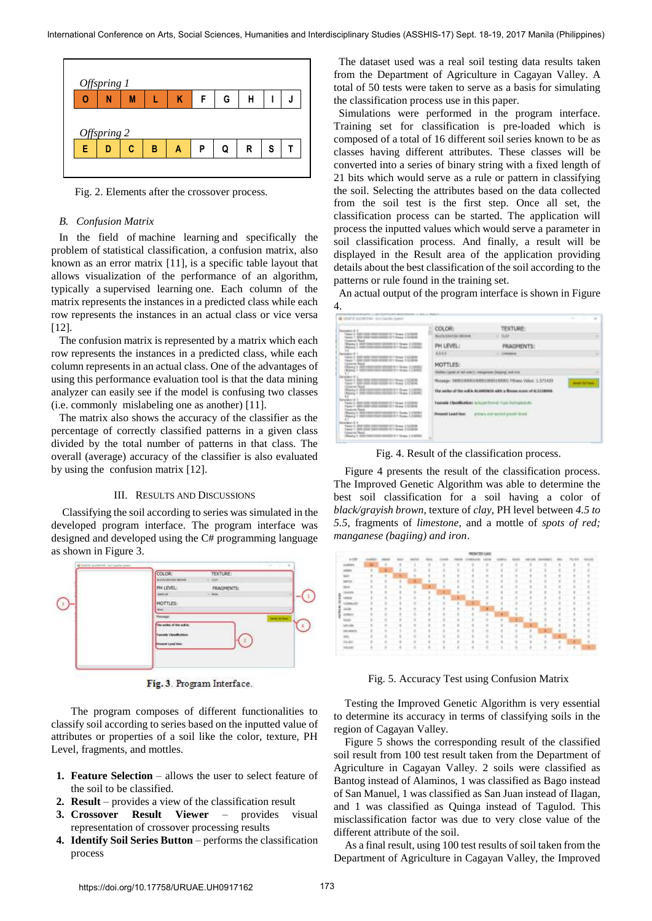

Fig. 2. Elements after the crossover process.

### *B. Confusion Matrix*

In the field of machine learning and specifically the problem of [statistical classification,](https://en.wikipedia.org/wiki/Statistical_classification) a confusion matrix, also known as an error matrix [11], is a specific table layout that allows visualization of the performance of an algorithm, typically a supervised learning one. Each column of the matrix represents the instances in a predicted class while each row represents the instances in an actual class or vice versa [12].

The confusion matrix is represented by a matrix which each row represents the instances in a predicted class, while each column represents in an actual class. One of the advantages of using this performance evaluation tool is that the data mining analyzer can easily see if the model is confusing two classes (i.e. commonly mislabeling one as another) [11].

The matrix also shows the accuracy of the classifier as the percentage of correctly classified patterns in a given class divided by the total number of patterns in that class. The overall (average) accuracy of the classifier is also evaluated by using the confusion matrix [12].

## III. RESULTS AND DISCUSSIONS

Classifying the soil according to series was simulated in the developed program interface. The program interface was designed and developed using the C# programming language as shown in Figure 3.



Fig. 3. Program Interface.

The program composes of different functionalities to classify soil according to series based on the inputted value of attributes or properties of a soil like the color, texture, PH Level, fragments, and mottles.

- **1. Feature Selection** allows the user to select feature of the soil to be classified.
- **2. Result** provides a view of the classification result
- **3. Crossover Result Viewer** provides visual representation of crossover processing results
- **4. Identify Soil Series Button** performs the classification process

The dataset used was a real soil testing data results taken from the Department of Agriculture in Cagayan Valley. A total of 50 tests were taken to serve as a basis for simulating the classification process use in this paper.

Simulations were performed in the program interface. Training set for classification is pre-loaded which is composed of a total of 16 different soil series known to be as classes having different attributes. These classes will be converted into a series of binary string with a fixed length of 21 bits which would serve as a rule or pattern in classifying the soil. Selecting the attributes based on the data collected from the soil test is the first step. Once all set, the classification process can be started. The application will process the inputted values which would serve a parameter in soil classification process. And finally, a result will be displayed in the Result area of the application providing details about the best classification of the soil according to the patterns or rule found in the training set.

An actual output of the program interface is shown in Figure

| ME LENET C ALLERTERS - Said Liabler Somer-                 |                                                                                                  |                                    | $-1$<br>$\rightarrow$     |
|------------------------------------------------------------|--------------------------------------------------------------------------------------------------|------------------------------------|---------------------------|
| $-4 + 1 = 1$<br>0.000 1998 1997 1998 1111 19-ext 5 519 019 | COLOR:                                                                                           | <b>TEXTURE:</b>                    |                           |
| 7: 800 0300 SWARTHERE ST 19 may 1 423814<br>mena Touch     | Box/CONVISH \$6,000                                                                              | <b>TLAF</b><br>٠                   |                           |
| 1. RECYCLIVITY BECK 2.1 flows 3.2830/<br>61211-0444-120002 | <b>PH LEVEL:</b>                                                                                 | <b>FRAGNENTS:</b>                  |                           |
|                                                            | 4588                                                                                             | <b>SYSTEMS</b><br>1 Printered over |                           |
| An only the transfer of the control of the                 | MOTTLES:                                                                                         |                                    |                           |
| Party 1 000 1000 00000 012 012                             | Robbe Lights of Art Jole L. Hargewin Daying, and it is                                           |                                    |                           |
| 2.000 000 000 00000 017 02:21 12:00                        |                                                                                                  |                                    | <b>Service Stationers</b> |
| <b>National Text of</b>                                    | The series of the soil is ALAMSNON with a filteria asset of ICO 19994.                           |                                    |                           |
| 320 0000 911 9x4 + 5220 9<br>and the Chancer of Attracta   | <b>CONTRACTOR</b><br>Taxwell I beefs about to hum home. You instrumed the                        |                                    |                           |
| <b>Index East</b><br><b>STATISTICS</b>                     | Present Land line:<br>drivery skill second growth dental<br>the product of the first product<br> |                                    |                           |
| and 7, 600 Mills (200 10000) 101 Street 1 Streets          |                                                                                                  |                                    |                           |

Fig. 4. Result of the classification process.

Figure 4 presents the result of the classification process. The Improved Genetic Algorithm was able to determine the best soil classification for a soil having a color of *black/grayish brown*, texture of *clay*, PH level between *4.5 to 5.5*, fragments of *limestone*, and a mottle of *spots of red; manganese (bagiing) and iron*.



Fig. 5. Accuracy Test using Confusion Matrix

 Testing the Improved Genetic Algorithm is very essential to determine its accuracy in terms of classifying soils in the region of Cagayan Valley.

 Figure 5 shows the corresponding result of the classified soil result from 100 test result taken from the Department of Agriculture in Cagayan Valley. 2 soils were classified as Bantog instead of Alaminos, 1 was classified as Bago instead of San Manuel, 1 was classified as San Juan instead of Ilagan, and 1 was classified as Quinga instead of Tagulod. This misclassification factor was due to very close value of the different attribute of the soil.

 As a final result, using 100 test results of soil taken from the Department of Agriculture in Cagayan Valley, the Improved